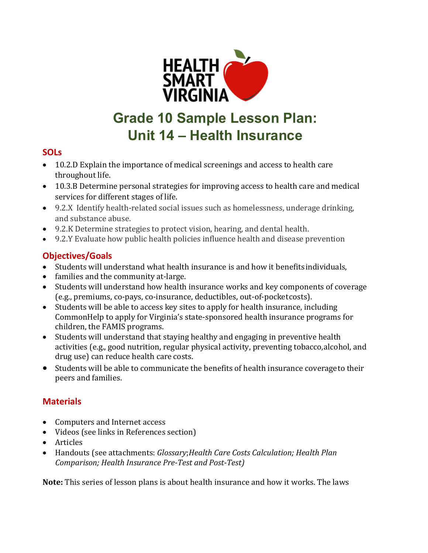

# **Grade 10 Sample Lesson Plan: Unit 14 – Health Insurance**

# **SOLs**

- 10.2.D Explain the importance of medical screenings and access to health care throughout life.
- 10.3.B Determine personal strategies for improving access to health care and medical services for different stages of life.
- 9.2.X Identify health-related social issues such as homelessness, underage drinking, and substance abuse.
- 9.2.K Determine strategies to protect vision, hearing, and dental health.
- 9.2.Y Evaluate how public health policies influence health and disease prevention

# **Objectives/Goals**

- Students will understand what health insurance is and how it benefits individuals,
- families and the community at-large.
- Students will understand how health insurance works and key components of coverage (e.g., premiums, co-pays, co-insurance, deductibles, out-of-pocketcosts).
- Students will be able to access key sites to apply for health insurance, including CommonHelp to apply for Virginia's state-sponsored health insurance programs for children, the FAMIS programs.
- Students will understand that staying healthy and engaging in preventive health activities (e.g., good nutrition, regular physical activity, preventing tobacco,alcohol, and drug use) can reduce health care costs.
- Students will be able to communicate the benefits of health insurance coverageto their peers and families.

# **Materials**

- Computers and Internet access
- Videos (see links in References section)
- Articles
- Handouts (see attachments: *Glossary*;*Health Care Costs Calculation; Health Plan Comparison; Health Insurance Pre-Test and Post-Test)*

**Note:** This series of lesson plans is about health insurance and how it works. The laws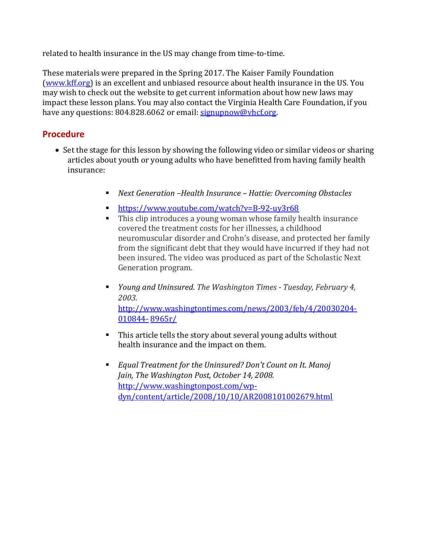related to health insurance in the US may change from time-to-time.

These materials were prepared in the Spring 2017. The Kaiser Family Foundation (www.kff.org) is an excellent and unbiased resource about health insurance in the US. You may wish to check out the website to get current information about how new laws may impact these lesson plans. You may also contact the Virginia Health Care Foundation, if you have any questions: 804.828.6062 or email: [signupnow@vhcf.org.](mailto:signupnow@vhcf.org)

## **Procedure**

- Set the stage for this lesson by showing the following video or similar videos or sharing articles about youth or young adults who have benefitted from having family health insurance:
	- *Next Generation –Health Insurance – Hattie: Overcoming Obstacles*
	- [https://www.youtube.com/watch?v=B-](http://www.youtube.com/watch?v=B-92-uy3r68)92-uy3[r68](http://www.youtube.com/watch?v=B-92-uy3r68)
	- This clip introduces a young woman whose family health insurance covered the treatment costs for her illnesses, a childhood neuromuscular disorder and Crohn's disease, and protected her family from the significant debt that they would have incurred if they had not been insured. The video was produced as part of the Scholastic Next Generation program.
	- *Young and Uninsured*. *The Washington Times - Tuesday, February 4, 2003.*  [http://www.washingtontimes.com/news/2003/feb/4/20030204-](http://www.washingtontimes.com/news/2003/feb/4/20030204-010844-) [010844-](http://www.washingtontimes.com/news/2003/feb/4/20030204-010844-) 8965r/
	- This article tells the story about several young adults without health insurance and the impact on them.
	- *Equal Treatment for the Uninsured? Don't Count on It. Manoj Jain, The Washington Post, October 14, 2008.*  [http://www.washingtonpost.com/wp](http://www.washingtonpost.com/wp-)dyn/content/article/2008/10/10/AR2008101002679.html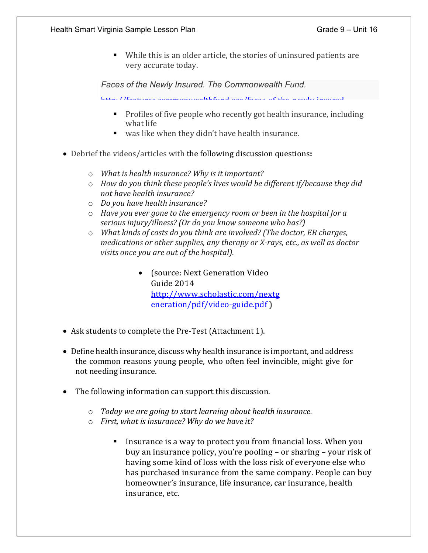While this is an older article, the stories of uninsured patients are very accurate today.

*Faces of the Newly Insured. The Commonwealth Fund.*

[http://features commonwealthfund org/faces](http://features.commonwealthfund.org/faces-of-the-newly-insured) of the newly insured

- **Profiles of five people who recently got health insurance, including** what life
- was like when they didn't have health insurance.
- Debrief the videos/articles with the following discussion questions**:**
	- o *What is health insurance? Why is it important?*
	- o *How do you think these people's lives would be different if/because they did not have health insurance?*
	- o *Do you have health insurance?*
	- o *Have you ever gone to the emergency room or been in the hospital for a serious injury/illness? (Or do you know someone who has?)*
	- o *What kinds of costs do you think are involved? (The doctor, ER charges, medications or other supplies, any therapy or X-rays, etc., as well as doctor visits once you are out of the hospital).*
		- (source: Next Generation Video Guide 2014 [http://www.scholastic.com/nextg](http://www.scholastic.com/nextgeneration/pdf/video-guide.pdf) [eneration/pdf/video-guide.pdf](http://www.scholastic.com/nextgeneration/pdf/video-guide.pdf) )
- Ask students to complete the Pre-Test (Attachment 1).
- Define health insurance, discuss why health insurance is important, and address the common reasons young people, who often feel invincible, might give for not needing insurance.
- The following information can support this discussion.
	- o *Today we are going to start learning about health insurance.*
	- o *First, what is insurance? Why do we have it?*
		- Insurance is a way to protect you from financial loss. When you buy an insurance policy, you're pooling – or sharing – your risk of having some kind of loss with the loss risk of everyone else who has purchased insurance from the same company. People can buy homeowner's insurance, life insurance, car insurance, health insurance, etc.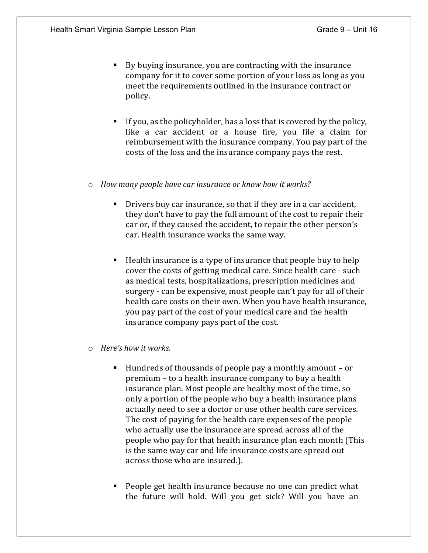- By buying insurance, you are contracting with the insurance company for it to cover some portion of your loss as long as you meet the requirements outlined in the insurance contract or policy.
- If you, as the policyholder, has a loss that is covered by the policy, like a car accident or a house fire, you file a claim for reimbursement with the insurance company. You pay part of the costs of the loss and the insurance company pays the rest.
- o *How many people have car insurance or know how it works?*
	- Drivers buy car insurance, so that if they are in a car accident, they don't have to pay the full amount of the cost to repair their car or, if they caused the accident, to repair the other person's car. Health insurance works the same way.
	- $\blacksquare$  Health insurance is a type of insurance that people buy to help cover the costs of getting medical care. Since health care - such as medical tests, hospitalizations, prescription medicines and surgery - can be expensive, most people can't pay for all of their health care costs on their own. When you have health insurance, you pay part of the cost of your medical care and the health insurance company pays part of the cost.
- o *Here's how it works.*
	- Hundreds of thousands of people pay a monthly amount or premium – to a health insurance company to buy a health insurance plan. Most people are healthy most of the time, so only a portion of the people who buy a health insurance plans actually need to see a doctor or use other health care services. The cost of paying for the health care expenses of the people who actually use the insurance are spread across all of the people who pay for that health insurance plan each month (This is the same way car and life insurance costs are spread out across those who are insured.).
	- People get health insurance because no one can predict what the future will hold. Will you get sick? Will you have an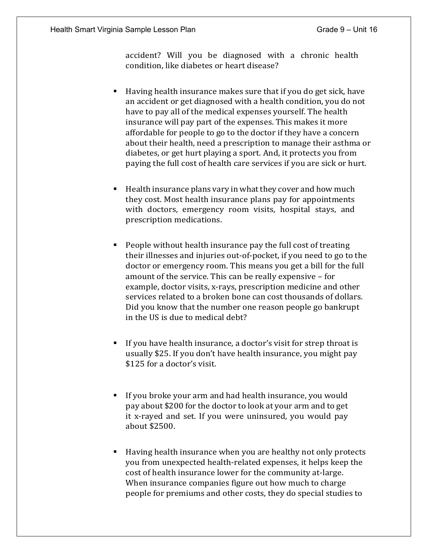accident? Will you be diagnosed with a chronic health condition, like diabetes or heart disease?

- Having health insurance makes sure that if you do get sick, have an accident or get diagnosed with a health condition, you do not have to pay all of the medical expenses yourself. The health insurance will pay part of the expenses. This makes it more affordable for people to go to the doctor if they have a concern about their health, need a prescription to manage their asthma or diabetes, or get hurt playing a sport. And, it protects you from paying the full cost of health care services if you are sick or hurt.
- Health insurance plans vary in what they cover and how much they cost. Most health insurance plans pay for appointments with doctors, emergency room visits, hospital stays, and prescription medications.
- People without health insurance pay the full cost of treating their illnesses and injuries out-of-pocket, if you need to go to the doctor or emergency room. This means you get a bill for the full amount of the service. This can be really expensive – for example, doctor visits, x-rays, prescription medicine and other services related to a broken bone can cost thousands of dollars. Did you know that the number one reason people go bankrupt in the US is due to medical debt?
- If you have health insurance, a doctor's visit for strep throat is usually \$25. If you don't have health insurance, you might pay \$125 for a doctor's visit.
- If you broke your arm and had health insurance, you would pay about \$200 for the doctor to look at your arm and to get it x-rayed and set. If you were uninsured, you would pay about \$2500.
- Having health insurance when you are healthy not only protects you from unexpected health-related expenses, it helps keep the cost of health insurance lower for the community at-large. When insurance companies figure out how much to charge people for premiums and other costs, they do special studies to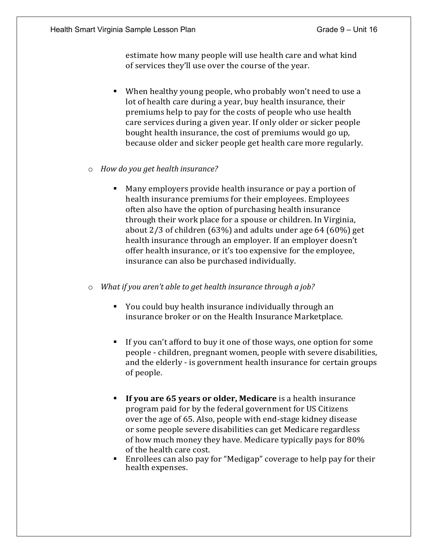estimate how many people will use health care and what kind of services they'll use over the course of the year.

- When healthy young people, who probably won't need to use a lot of health care during a year, buy health insurance, their premiums help to pay for the costs of people who use health care services during a given year. If only older or sicker people bought health insurance, the cost of premiums would go up, because older and sicker people get health care more regularly.
- o *How do you get health insurance?*
	- Many employers provide health insurance or pay a portion of health insurance premiums for their employees. Employees often also have the option of purchasing health insurance through their work place for a spouse or children. In Virginia, about 2/3 of children (63%) and adults under age 64 (60%) get health insurance through an employer. If an employer doesn't offer health insurance, or it's too expensive for the employee, insurance can also be purchased individually.
- o *What if you aren't able to get health insurance through a job?*
	- You could buy health insurance individually through an insurance broker or on the Health Insurance Marketplace.
	- If you can't afford to buy it one of those ways, one option for some people - children, pregnant women, people with severe disabilities, and the elderly - is government health insurance for certain groups of people.
	- **If you are 65 years or older, Medicare** is a health insurance program paid for by the federal government for US Citizens over the age of 65. Also, people with end-stage kidney disease or some people severe disabilities can get Medicare regardless of how much money they have. Medicare typically pays for 80% of the health care cost.
	- Enrollees can also pay for "Medigap" coverage to help pay for their health expenses.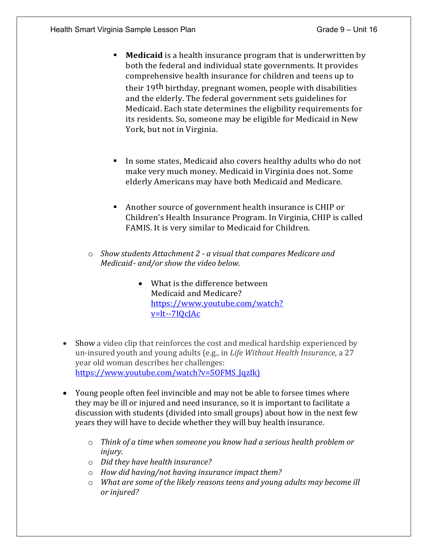- **Medicaid** is a health insurance program that is underwritten by both the federal and individual state governments. It provides comprehensive health insurance for children and teens up to their 19th birthday, pregnant women, people with disabilities and the elderly. The federal government sets guidelines for Medicaid. Each state determines the eligbility requirements for its residents. So, someone may be eligible for Medicaid in New York, but not in Virginia.
- In some states, Medicaid also covers healthy adults who do not make very much money. Medicaid in Virginia does not. Some elderly Americans may have both Medicaid and Medicare.
- Another source of government health insurance is CHIP or Children's Health Insurance Program. In Virginia, CHIP is called FAMIS. It is very similar to Medicaid for Children.
- o *Show students Attachment 2 - a visual that compares Medicare and Medicaid- and/or show the video below.*
	- What is the difference between Medicaid and Medicare? https:/[/www.youtube.com/watch?](http://www.youtube.com/watch?v=lt--7lQcJAc) [v=lt--7lQcJAc](http://www.youtube.com/watch?v=lt--7lQcJAc)
- Show a video clip that reinforces the cost and medical hardship experienced by un-insured youth and young adults (e.g., in *Life Without Health Insurance,* a 27 year old woman describes her challenges: https://www.youtube.com/watch?v=50FMS\_JqzIk)
- Young people often feel invincible and may not be able to forsee times where they may be ill or injured and need insurance, so it is important to facilitate a discussion with students (divided into small groups) about how in the next few years they will have to decide whether they will buy health insurance.
	- o *Think of a time when someone you know had a serious health problem or injury.*
	- o *Did they have health insurance?*
	- o *How did having/not having insurance impact them?*
	- o *What are some of the likely reasons teens and young adults may become ill or injured?*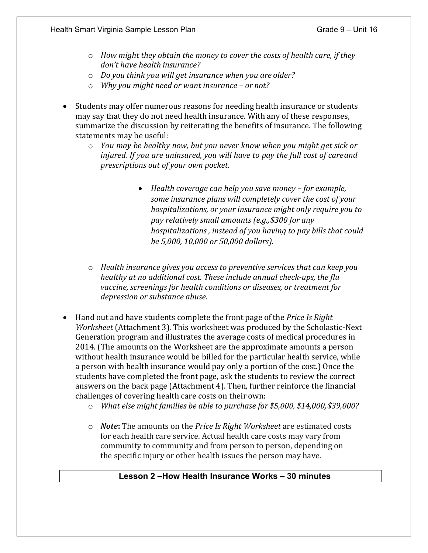- o *How might they obtain the money to cover the costs of health care, if they don't have health insurance?*
- o *Do you think you will get insurance when you are older?*
- o *Why you might need or want insurance – or not?*
- Students may offer numerous reasons for needing health insurance or students may say that they do not need health insurance. With any of these responses, summarize the discussion by reiterating the benefits of insurance. The following statements may be useful:
	- o *You may be healthy now, but you never know when you might get sick or injured. If you are uninsured, you will have to pay the full cost of careand prescriptions out of your own pocket.*
		- *Health coverage can help you save money – for example, some insurance plans will completely cover the cost of your hospitalizations, or your insurance might only require you to pay relatively small amounts (e.g.,\$300 for any hospitalizations , instead of you having to pay bills that could be 5,000, 10,000 or 50,000 dollars).*
	- o *Health insurance gives you access to preventive services that can keep you healthy at no additional cost. These include annual check-ups, the flu vaccine, screenings for health conditions or diseases, or treatment for depression or substance abuse.*
- Hand out and have students complete the front page of the *Price Is Right Worksheet* (Attachment 3). This worksheet was produced by the Scholastic-Next Generation program and illustrates the average costs of medical procedures in 2014. (The amounts on the Worksheet are the approximate amounts a person without health insurance would be billed for the particular health service, while a person with health insurance would pay only a portion of the cost.) Once the students have completed the front page, ask the students to review the correct answers on the back page (Attachment 4). Then, further reinforce the financial challenges of covering health care costs on their own:
	- o *What else might families be able to purchase for \$5,000, \$14,000,\$39,000?*
	- o *Note***:** The amounts on the *Price Is Right Worksheet* are estimated costs for each health care service. Actual health care costs may vary from community to community and from person to person, depending on the specific injury or other health issues the person may have.

#### **Lesson 2 –How Health Insurance Works – 30 minutes**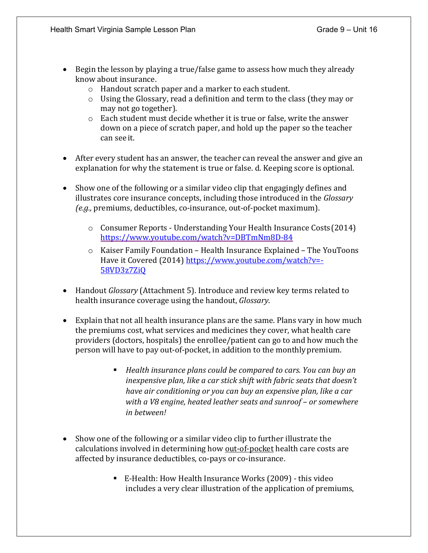- Begin the lesson by playing a true/false game to assess how much they already know about insurance.
	- o Handout scratch paper and a marker to each student.
	- o Using the Glossary, read a definition and term to the class (they may or may not go together).
	- o Each student must decide whether it is true or false, write the answer down on a piece of scratch paper, and hold up the paper so the teacher can see it.
- After every student has an answer, the teacher can reveal the answer and give an explanation for why the statement is true or false. d. Keeping score is optional.
- Show one of the following or a similar video clip that engagingly defines and illustrates core insurance concepts, including those introduced in the *Glossary (e.g.,* premiums, deductibles, co-insurance, out-of-pocket maximum).
	- o Consumer Reports Understanding Your Health Insurance Costs(2014) [https://www.youtube.com/watch?v=DBTmNm8D-](http://www.youtube.com/watch?v=DBTmNm8D-84)84
	- $\circ$  Kaiser Family Foundation Health Insurance Explained The YouToons Have it Covered (2014) https:/[/www.youtube.com/watch?v=-](http://www.youtube.com/watch?v=-) 58VD3z7ZiQ
- Handout *Glossary* (Attachment 5). Introduce and review key terms related to health insurance coverage using the handout, *Glossary*.
- Explain that not all health insurance plans are the same. Plans vary in how much the premiums cost, what services and medicines they cover, what health care providers (doctors, hospitals) the enrollee/patient can go to and how much the person will have to pay out-of-pocket, in addition to the monthlypremium.
	- *Health insurance plans could be compared to cars. You can buy an inexpensive plan, like a car stick shift with fabric seats that doesn't have air conditioning or you can buy an expensive plan, like a car with a V8 engine, heated leather seats and sunroof – or somewhere in between!*
- Show one of the following or a similar video clip to further illustrate the calculations involved in determining how out-of-pocket health care costs are affected by insurance deductibles, co-pays or co-insurance.
	- E-Health: How Health Insurance Works (2009) this video includes a very clear illustration of the application of premiums,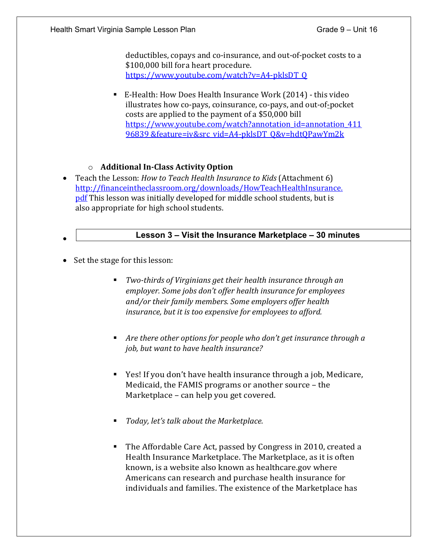deductibles, copays and co-insurance, and out-of-pocket costs to a \$100,000 bill fora heart procedure. [https://www.youtube.com/watch?v=A4-](http://www.youtube.com/watch?v=A4-pklsDT_Q)pklsDT[\\_Q](http://www.youtube.com/watch?v=A4-pklsDT_Q)

 E-Health: How Does Health Insurance Work (2014) - this video illustrates how co-pays, coinsurance, co-pays, and out-of-pocket costs are applied to the payment of a \$50,000 bill [https://www.youtube.com/watch?annotation\\_id=annotation\\_411](http://www.youtube.com/watch?annotation_id=annotation_41196839) [96839](http://www.youtube.com/watch?annotation_id=annotation_41196839) &feature=iv&src\_vid=A4-pklsDT\_Q&v=hdtQPawYm2k

## o **Additional In-Class Activity Option**

• Teach the Lesson: *How to Teach Health Insurance to Kids* (Attachment 6) [http://financeintheclassroom.org/downloads/HowTeachHealthInsurance.](http://financeintheclassroom.org/downloads/HowTeachHealthInsurance.pdf) [pdf](http://financeintheclassroom.org/downloads/HowTeachHealthInsurance.pdf) This lesson was initially developed for middle school students, but is also appropriate for high school students.

### **Lesson 3 – Visit the Insurance Marketplace – 30 minutes**

• Set the stage for this lesson:

•

- *Two-thirds of Virginians get their health insurance through an employer. Some jobs don't offer health insurance for employees and/or their family members. Some employers offer health insurance, but it is too expensive for employees to afford.*
- *Are there other options for people who don't get insurance through a job, but want to have health insurance?*
- Yes! If you don't have health insurance through a job, Medicare, Medicaid, the FAMIS programs or another source – the Marketplace – can help you get covered.
- *Today, let's talk about the Marketplace.*
- The Affordable Care Act, passed by Congress in 2010, created a Health Insurance Marketplace. The Marketplace, as it is often known, is a website also known as healthcare.gov where Americans can research and purchase health insurance for individuals and families. The existence of the Marketplace has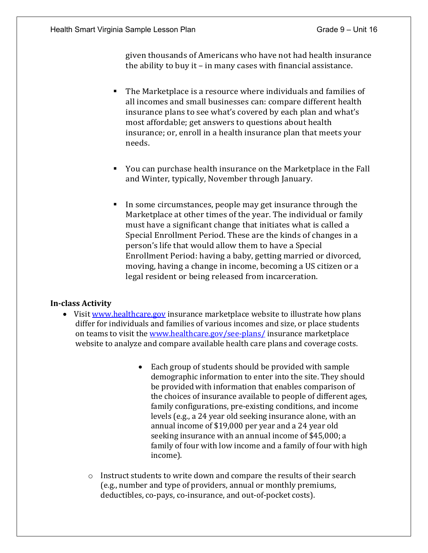given thousands of Americans who have not had health insurance the ability to buy it – in many cases with financial assistance.

- The Marketplace is a resource where individuals and families of all incomes and small businesses can: compare different health insurance plans to see what's covered by each plan and what's most affordable; get answers to questions about health insurance; or, enroll in a health insurance plan that meets your needs.
- You can purchase health insurance on the Marketplace in the Fall and Winter, typically, November through January.
- In some circumstances, people may get insurance through the Marketplace at other times of the year. The individual or family must have a significant change that initiates what is called a Special Enrollment Period. These are the kinds of changes in a person's life that would allow them to have a Special Enrollment Period: having a baby, getting married or divorced, moving, having a change in income, becoming a US citizen or a legal resident or being released from incarceration.

#### **In-class Activity**

- Visit [www.healthcare.gov](http://www.healthcare.gov/) insurance marketplace website to illustrate how plans differ for individuals and families of various incomes and size, or place students on teams to visit the [www.healthcare.gov/see-plans/](http://www.healthcare.gov/see-plans/) insurance marketplace website to analyze and compare available health care plans and coverage costs.
	- Each group of students should be provided with sample demographic information to enter into the site. They should be provided with information that enables comparison of the choices of insurance available to people of different ages, family configurations, pre-existing conditions, and income levels (e.g., a 24 year old seeking insurance alone, with an annual income of \$19,000 per year and a 24 year old seeking insurance with an annual income of \$45,000; a family of four with low income and a family of four with high income).
	- $\circ$  Instruct students to write down and compare the results of their search (e.g., number and type of providers, annual or monthly premiums, deductibles, co-pays, co-insurance, and out-of-pocket costs).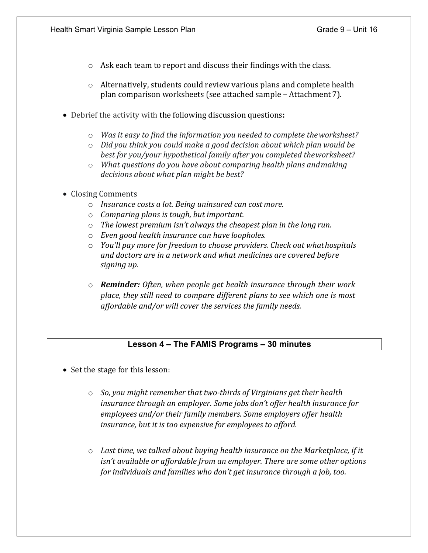- o Ask each team to report and discuss their findings with the class.
- $\circ$  Alternatively, students could review various plans and complete health plan comparison worksheets (see attached sample – Attachment 7).
- Debrief the activity with the following discussion questions**:**
	- o *Was it easy to find the information you needed to complete theworksheet?*
	- o *Did you think you could make a good decision about which plan would be best for you/your hypothetical family after you completed theworksheet?*
	- o *What questions do you have about comparing health plans andmaking decisions about what plan might be best?*
- Closing Comments
	- o *Insurance costs a lot. Being uninsured can cost more.*
	- o *Comparing plans is tough, but important.*
	- o *The lowest premium isn't always the cheapest plan in the long run.*
	- o *Even good health insurance can have loopholes.*
	- o *You'll pay more for freedom to choose providers. Check out whathospitals and doctors are in a network and what medicines are covered before signing up.*
	- o *Reminder: Often, when people get health insurance through their work place, they still need to compare different plans to see which one is most affordable and/or will cover the services the family needs.*

#### **Lesson 4 – The FAMIS Programs – 30 minutes**

- Set the stage for this lesson:
	- o *So, you might remember that two-thirds of Virginians get their health insurance through an employer. Some jobs don't offer health insurance for employees and/or their family members. Some employers offer health insurance, but it is too expensive for employees to afford.*
	- o *Last time, we talked about buying health insurance on the Marketplace, if it isn't available or affordable from an employer. There are some other options for individuals and families who don't get insurance through a job, too.*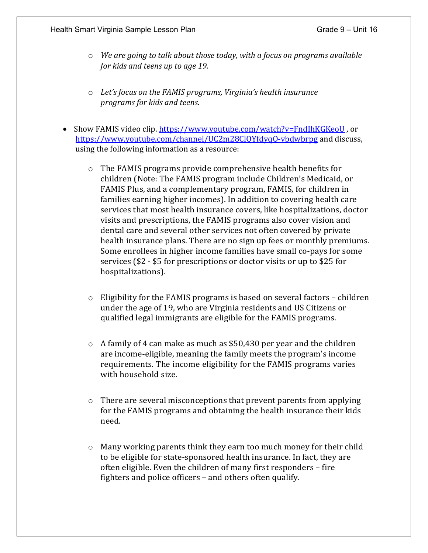- o *We are going to talk about those today, with a focus on programs available for kids and teens up to age 19.*
- o *Let's focus on the FAMIS programs, Virginia's health insurance programs for kids and teens.*
- Show FAMIS video clip. [https://www.youtube.com/watch?v=FndIhKGKeoU](http://www.youtube.com/watch?v=FndIhKGKeoU), o[r](http://www.youtube.com/channel/UC2m28ClQYfdyqQ-vbdwbrpg) [https://www.youtube.com/channel/UC2](http://www.youtube.com/channel/UC2m28ClQYfdyqQ-vbdwbrpg)m28[ClQYfdyqQ-](http://www.youtube.com/channel/UC2m28ClQYfdyqQ-vbdwbrpg)v[bdwbrpg](http://www.youtube.com/channel/UC2m28ClQYfdyqQ-vbdwbrpg) and discuss, using the following information as a resource:
	- o The FAMIS programs provide comprehensive health benefits for children (Note: The FAMIS program include Children's Medicaid, or FAMIS Plus, and a complementary program, FAMIS, for children in families earning higher incomes). In addition to covering health care services that most health insurance covers, like hospitalizations, doctor visits and prescriptions, the FAMIS programs also cover vision and dental care and several other services not often covered by private health insurance plans. There are no sign up fees or monthly premiums. Some enrollees in higher income families have small co-pays for some services (\$2 - \$5 for prescriptions or doctor visits or up to \$25 for hospitalizations).
	- $\circ$  Eligibility for the FAMIS programs is based on several factors children under the age of 19, who are Virginia residents and US Citizens or qualified legal immigrants are eligible for the FAMIS programs.
	- o A family of 4 can make as much as \$50,430 per year and the children are income-eligible, meaning the family meets the program's income requirements. The income eligibility for the FAMIS programs varies with household size.
	- o There are several misconceptions that prevent parents from applying for the FAMIS programs and obtaining the health insurance their kids need.
	- $\circ$  Many working parents think they earn too much money for their child to be eligible for state-sponsored health insurance. In fact, they are often eligible. Even the children of many first responders – fire fighters and police officers – and others often qualify.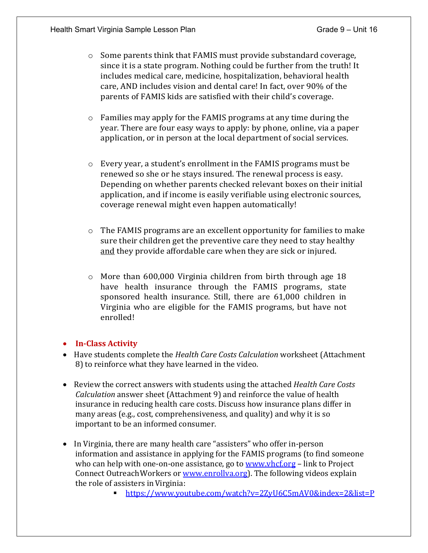- $\circ$  Some parents think that FAMIS must provide substandard coverage, since it is a state program. Nothing could be further from the truth! It includes medical care, medicine, hospitalization, behavioral health care, AND includes vision and dental care! In fact, over 90% of the parents of FAMIS kids are satisfied with their child's coverage.
- o Families may apply for the FAMIS programs at any time during the year. There are four easy ways to apply: by phone, online, via a paper application, or in person at the local department of social services.
- $\circ$  Every year, a student's enrollment in the FAMIS programs must be renewed so she or he stays insured. The renewal process is easy. Depending on whether parents checked relevant boxes on their initial application, and if income is easily verifiable using electronic sources, coverage renewal might even happen automatically!
- $\circ$  The FAMIS programs are an excellent opportunity for families to make sure their children get the preventive care they need to stay healthy and they provide affordable care when they are sick or injured.
- o More than 600,000 Virginia children from birth through age 18 have health insurance through the FAMIS programs, state sponsored health insurance. Still, there are 61,000 children in Virginia who are eligible for the FAMIS programs, but have not enrolled!

#### • **In-Class Activity**

- Have students complete the *Health Care Costs Calculation* worksheet (Attachment 8) to reinforce what they have learned in the video.
- Review the correct answers with students using the attached *Health Care Costs Calculation* answer sheet (Attachment 9) and reinforce the value of health insurance in reducing health care costs. Discuss how insurance plans differ in many areas (e.g., cost, comprehensiveness, and quality) and why it is so important to be an informed consumer.
- In Virginia, there are many health care "assisters" who offer in-person information and assistance in applying for the FAMIS programs (to find someone who can help with one-on-one assistance, go to [www.vhcf.org](http://www.vhcf.org/) – link to Project Connect Outreach Workers or www.enrollva.org). The following videos explain the role of assisters inVirginia:
	- [https://www.youtube.com/watch?v=2ZyU6C5](http://www.youtube.com/watch?v=2ZyU6C5mAV0&index=2&list=PLOVLQ1W)mAV0[&index=2&list=P](http://www.youtube.com/watch?v=2ZyU6C5mAV0&index=2&list=PLOVLQ1W)